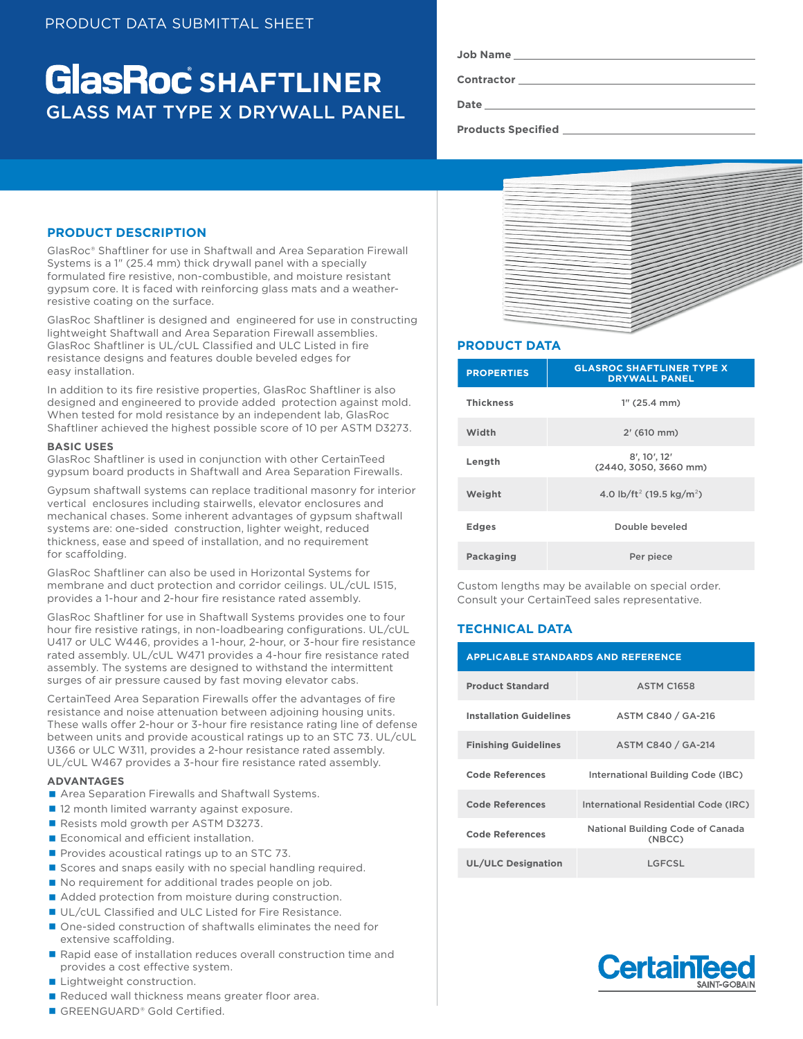# GLASS MAT TYPE X DRYWALL PANEL **GlasRoc** SHAFTLINER

| Job Name |  |
|----------|--|
|----------|--|

**Contractor**

**Date**

**Products Specified** 

## **PRODUCT DESCRIPTION**

GlasRoc® Shaftliner for use in Shaftwall and Area Separation Firewall Systems is a 1" (25.4 mm) thick drywall panel with a specially formulated fire resistive, non-combustible, and moisture resistant gypsum core. It is faced with reinforcing glass mats and a weatherresistive coating on the surface.

GlasRoc Shaftliner is designed and engineered for use in constructing lightweight Shaftwall and Area Separation Firewall assemblies. GlasRoc Shaftliner is UL/cUL Classified and ULC Listed in fire resistance designs and features double beveled edges for easy installation.

In addition to its fire resistive properties, GlasRoc Shaftliner is also designed and engineered to provide added protection against mold. When tested for mold resistance by an independent lab, GlasRoc Shaftliner achieved the highest possible score of 10 per ASTM D3273.

#### **BASIC USES**

GlasRoc Shaftliner is used in conjunction with other CertainTeed gypsum board products in Shaftwall and Area Separation Firewalls.

Gypsum shaftwall systems can replace traditional masonry for interior vertical enclosures including stairwells, elevator enclosures and mechanical chases. Some inherent advantages of gypsum shaftwall systems are: one-sided construction, lighter weight, reduced thickness, ease and speed of installation, and no requirement for scaffolding.

GlasRoc Shaftliner can also be used in Horizontal Systems for membrane and duct protection and corridor ceilings. UL/cUL I515, provides a 1-hour and 2-hour fire resistance rated assembly.

GlasRoc Shaftliner for use in Shaftwall Systems provides one to four hour fire resistive ratings, in non-loadbearing configurations. UL/cUL U417 or ULC W446, provides a 1-hour, 2-hour, or 3-hour fire resistance rated assembly. UL/cUL W471 provides a 4-hour fire resistance rated assembly. The systems are designed to withstand the intermittent surges of air pressure caused by fast moving elevator cabs.

CertainTeed Area Separation Firewalls offer the advantages of fire resistance and noise attenuation between adjoining housing units. These walls offer 2-hour or 3-hour fire resistance rating line of defense between units and provide acoustical ratings up to an STC 73. UL/cUL U366 or ULC W311, provides a 2-hour resistance rated assembly. UL/cUL W467 provides a 3-hour fire resistance rated assembly.

#### **ADVANTAGES**

- Area Separation Firewalls and Shaftwall Systems.
- 12 month limited warranty against exposure.
- Resists mold growth per ASTM D3273.
- Economical and efficient installation.
- $\blacksquare$  Provides acoustical ratings up to an STC 73.
- Scores and snaps easily with no special handling required.
- No requirement for additional trades people on job.
- Added protection from moisture during construction.
- UL/cUL Classified and ULC Listed for Fire Resistance.
- One-sided construction of shaftwalls eliminates the need for extensive scaffolding.
- Rapid ease of installation reduces overall construction time and provides a cost effective system.
- **Lightweight construction.**
- Reduced wall thickness means greater floor area.
- GREENGUARD® Gold Certified.



## **PRODUCT DATA**

| <b>PROPERTIES</b> | <b>GLASROC SHAFTLINER TYPE X</b><br><b>DRYWALL PANEL</b> |  |
|-------------------|----------------------------------------------------------|--|
| <b>Thickness</b>  | $1''$ (25.4 mm)                                          |  |
| Width             | $2'$ (610 mm)                                            |  |
| Length            | 8', 10', 12'<br>(2440, 3050, 3660 mm)                    |  |
| Weight            | 4.0 lb/ft <sup>2</sup> (19.5 kg/m <sup>2</sup> )         |  |
| <b>Edges</b>      | Double beveled                                           |  |
| Packaging         | Per piece                                                |  |

Custom lengths may be available on special order. Consult your CertainTeed sales representative.

## **TECHNICAL DATA**

| <b>APPLICABLE STANDARDS AND REFERENCE</b> |                                            |  |  |
|-------------------------------------------|--------------------------------------------|--|--|
| <b>Product Standard</b>                   | <b>ASTM C1658</b>                          |  |  |
| <b>Installation Guidelines</b>            | ASTM C840 / GA-216                         |  |  |
| <b>Finishing Guidelines</b>               | ASTM C840 / GA-214                         |  |  |
| Code References                           | International Building Code (IBC)          |  |  |
| <b>Code References</b>                    | International Residential Code (IRC)       |  |  |
| Code References                           | National Building Code of Canada<br>(NBCC) |  |  |
| <b>UL/ULC Designation</b>                 | LGFCSL                                     |  |  |

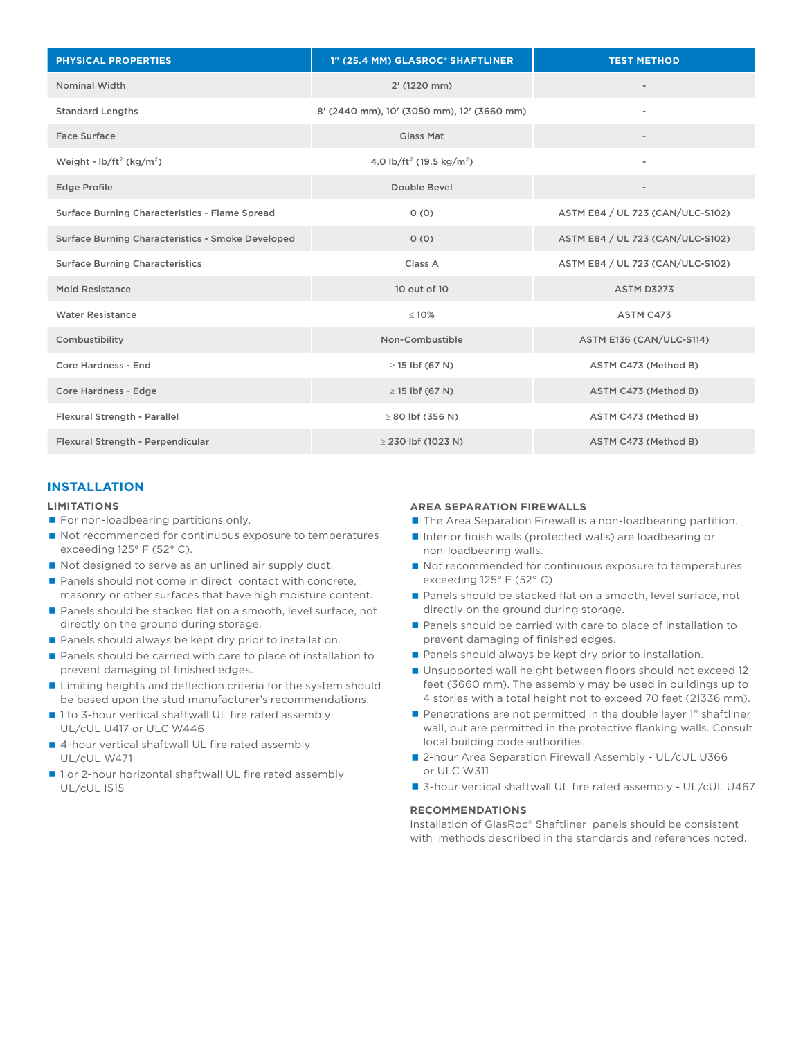| <b>PHYSICAL PROPERTIES</b>                        | 1" (25.4 MM) GLASROC® SHAFTLINER                 | <b>TEST METHOD</b>               |
|---------------------------------------------------|--------------------------------------------------|----------------------------------|
| <b>Nominal Width</b>                              | 2' (1220 mm)                                     |                                  |
| <b>Standard Lengths</b>                           | 8' (2440 mm), 10' (3050 mm), 12' (3660 mm)       |                                  |
| Face Surface                                      | Glass Mat                                        |                                  |
| Weight - $\frac{1}{2}$ (kg/m <sup>2</sup> )       | 4.0 lb/ft <sup>2</sup> (19.5 kg/m <sup>2</sup> ) |                                  |
| <b>Edge Profile</b>                               | Double Bevel                                     | $\overline{\phantom{a}}$         |
| Surface Burning Characteristics - Flame Spread    | 0(0)                                             | ASTM E84 / UL 723 (CAN/ULC-S102) |
| Surface Burning Characteristics - Smoke Developed | 0(0)                                             | ASTM E84 / UL 723 (CAN/ULC-S102) |
| <b>Surface Burning Characteristics</b>            | Class A                                          | ASTM E84 / UL 723 (CAN/ULC-S102) |
| <b>Mold Resistance</b>                            | 10 out of 10                                     | <b>ASTM D3273</b>                |
| <b>Water Resistance</b>                           | $\leq 10\%$                                      | ASTM C473                        |
| Combustibility                                    | Non-Combustible                                  | ASTM E136 (CAN/ULC-S114)         |
| Core Hardness - End                               | $\geq$ 15 lbf (67 N)                             | ASTM C473 (Method B)             |
| Core Hardness - Edge                              | $\geq$ 15 lbf (67 N)                             | ASTM C473 (Method B)             |
| Flexural Strength - Parallel                      | $\geq$ 80 lbf (356 N)                            | ASTM C473 (Method B)             |
| Flexural Strength - Perpendicular                 | $\geq$ 230 lbf (1023 N)                          | ASTM C473 (Method B)             |

## **INSTALLATION**

#### **LIMITATIONS**

- For non-loadbearing partitions only.
- Not recommended for continuous exposure to temperatures exceeding 125° F (52° C).
- Not designed to serve as an unlined air supply duct.
- Panels should not come in direct contact with concrete, masonry or other surfaces that have high moisture content.
- Panels should be stacked flat on a smooth, level surface, not directly on the ground during storage.
- Panels should always be kept dry prior to installation.
- Panels should be carried with care to place of installation to prevent damaging of finished edges.
- **Limiting heights and deflection criteria for the system should** be based upon the stud manufacturer's recommendations.
- 1 to 3-hour vertical shaftwall UL fire rated assembly UL/cUL U417 or ULC W446
- 4-hour vertical shaftwall UL fire rated assembly UL/cUL W471
- 1 or 2-hour horizontal shaftwall UL fire rated assembly UL/cUL I515

#### **AREA SEPARATION FIREWALLS**

- The Area Separation Firewall is a non-loadbearing partition.
- Interior finish walls (protected walls) are loadbearing or non-loadbearing walls.
- Not recommended for continuous exposure to temperatures exceeding 125° F (52° C).
- Panels should be stacked flat on a smooth, level surface, not directly on the ground during storage.
- Panels should be carried with care to place of installation to prevent damaging of finished edges.
- Panels should always be kept dry prior to installation.
- Unsupported wall height between floors should not exceed 12 feet (3660 mm). The assembly may be used in buildings up to 4 stories with a total height not to exceed 70 feet (21336 mm).
- Penetrations are not permitted in the double layer 1" shaftliner wall, but are permitted in the protective flanking walls. Consult local building code authorities.
- 2-hour Area Separation Firewall Assembly UL/cUL U366 or ULC W311
- 3-hour vertical shaftwall UL fire rated assembly UL/cUL U467

#### **RECOMMENDATIONS**

Installation of GlasRoc® Shaftliner panels should be consistent with methods described in the standards and references noted.